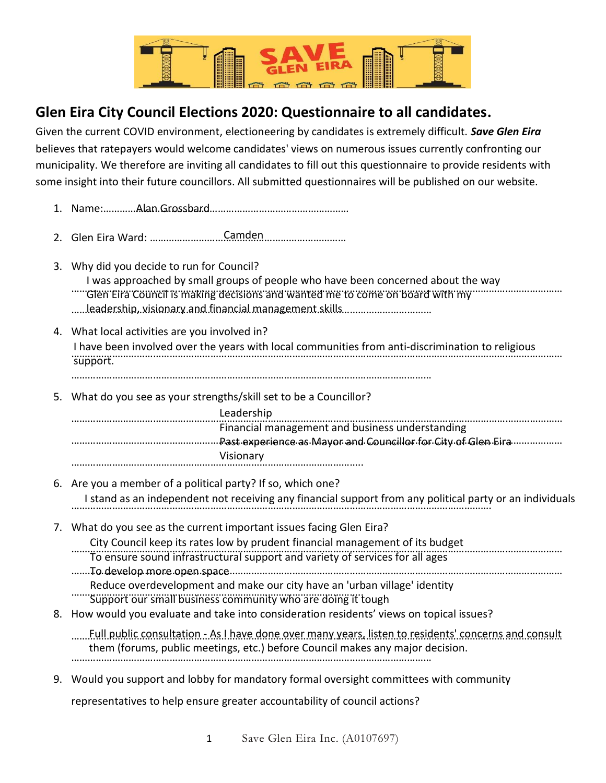

## **Glen Eira City Council Elections 2020: Questionnaire to all candidates.**

Given the current COVID environment, electioneering by candidates is extremely difficult. *Save Glen Eira* believes that ratepayers would welcome candidates' views on numerous issues currently confronting our municipality. We therefore are inviting all candidates to fill out this questionnaire to provide residents with some insight into their future councillors. All submitted questionnaires will be published on our website.

- 1. Name:……………………………………………………………………………… Alan Grossbard
- 2. Glen Eira Ward: ……………………………………………………………… Camden
- 3. Why did you decide to run for Council?
	- ……………………………………………………………………………………………………………………………………………………………… Glen Eira Council is making decisions and wanted me to come on board with my I was approached by small groups of people who have been concerned about the way
	- …………………………………………………………………………………………………………………… leadership, visionary and financial management skills
- 4. What local activities are you involved in?

……………………………………………………………………………………………………………………………………………………………… I have been involved over the years with local communities from anti-discrimination to religious support.

……………………………………………………………………………………………………………………

5. What do you see as your strengths/skill set to be a Councillor?

| Leadership                                      |
|-------------------------------------------------|
| Financial management and business understanding |
|                                                 |
| Visionary                                       |
|                                                 |

- 6. Are you a member of a political party? If so, which one? ………………………………………………………………………………………………………………………………………. I stand as an independent not receiving any financial support from any political party or an individuals
- 7. What do you see as the current important issues facing Glen Eira?
	- City Council keep its rates low by prudent financial management of its budget
	- ……………………………………………………………………………………………………………………………………………………………… To ensure sound infrastructural support and variety of services for all ages
	- ……………………………………………………………………………………………………………………………………………………………… To develop more open space
	- Reduce overdevelopment and make our city have an 'urban village' identity
	- …………………………………………………………………………………………….. Support our small business community who are doing it tough
- 8. How would you evaluate and take into consideration residents' views on topical issues?

……………………………………………………………………………………………………………………………………………………………… Full public consultation - As I have done over many years, listen to residents' concerns and consult …………………………………………………………………………………………………………………… them (forums, public meetings, etc.) before Council makes any major decision.

9. Would you support and lobby for mandatory formal oversight committees with community

representatives to help ensure greater accountability of council actions?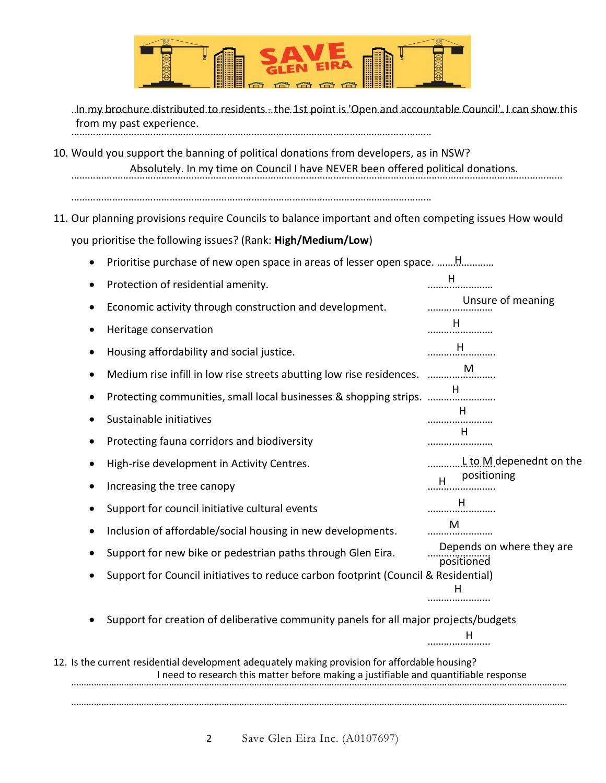

……………………………………………………………………………………………………………………………………………………………… In my brochure distributed to residents - the 1st point is 'Open and accountable Council'. I can show this …………………………………………………………………………………………………………………… from my past experience.

- 10. Would you support the banning of political donations from developers, as in NSW? ……………………………………………………………………………………………………………………………………………………………… Absolutely. In my time on Council I have NEVER been offered political donations.
	- ……………………………………………………………………………………………………………………
- 11. Our planning provisions require Councils to balance important and often competing issues How would you prioritise the following issues? (Rank: **High/Medium/Low**)
	- Prioritise purchase of new open space in areas of lesser open space. ………………… H

|                                                                                                                                                                                        |                                                                                         | Protection of residential amenity.                                   | н                                       |  |
|----------------------------------------------------------------------------------------------------------------------------------------------------------------------------------------|-----------------------------------------------------------------------------------------|----------------------------------------------------------------------|-----------------------------------------|--|
|                                                                                                                                                                                        |                                                                                         | Economic activity through construction and development.              | Unsure of meaning                       |  |
|                                                                                                                                                                                        |                                                                                         | Heritage conservation                                                | H                                       |  |
|                                                                                                                                                                                        |                                                                                         | Housing affordability and social justice.                            | H                                       |  |
|                                                                                                                                                                                        |                                                                                         | Medium rise infill in low rise streets abutting low rise residences. | M                                       |  |
|                                                                                                                                                                                        |                                                                                         | Protecting communities, small local businesses & shopping strips.    | н                                       |  |
|                                                                                                                                                                                        |                                                                                         | Sustainable initiatives                                              | н                                       |  |
|                                                                                                                                                                                        |                                                                                         | Protecting fauna corridors and biodiversity                          | Н                                       |  |
|                                                                                                                                                                                        |                                                                                         | High-rise development in Activity Centres.                           | $L$ to M depenednt on the               |  |
|                                                                                                                                                                                        |                                                                                         | Increasing the tree canopy                                           | positioning<br>H                        |  |
|                                                                                                                                                                                        |                                                                                         | Support for council initiative cultural events                       | н                                       |  |
|                                                                                                                                                                                        |                                                                                         | Inclusion of affordable/social housing in new developments.          | M                                       |  |
|                                                                                                                                                                                        |                                                                                         | Support for new bike or pedestrian paths through Glen Eira.          | Depends on where they are<br>positioned |  |
|                                                                                                                                                                                        | Support for Council initiatives to reduce carbon footprint (Council & Residential)<br>н |                                                                      |                                         |  |
|                                                                                                                                                                                        | Support for creation of deliberative community panels for all major projects/budgets    |                                                                      |                                         |  |
|                                                                                                                                                                                        |                                                                                         |                                                                      | н                                       |  |
| 12. Is the current residential development adequately making provision for affordable housing?<br>I need to research this matter before making a justifiable and quantifiable response |                                                                                         |                                                                      |                                         |  |
|                                                                                                                                                                                        |                                                                                         |                                                                      |                                         |  |

………………………………………………………………………………………………………………………………………………………………………………